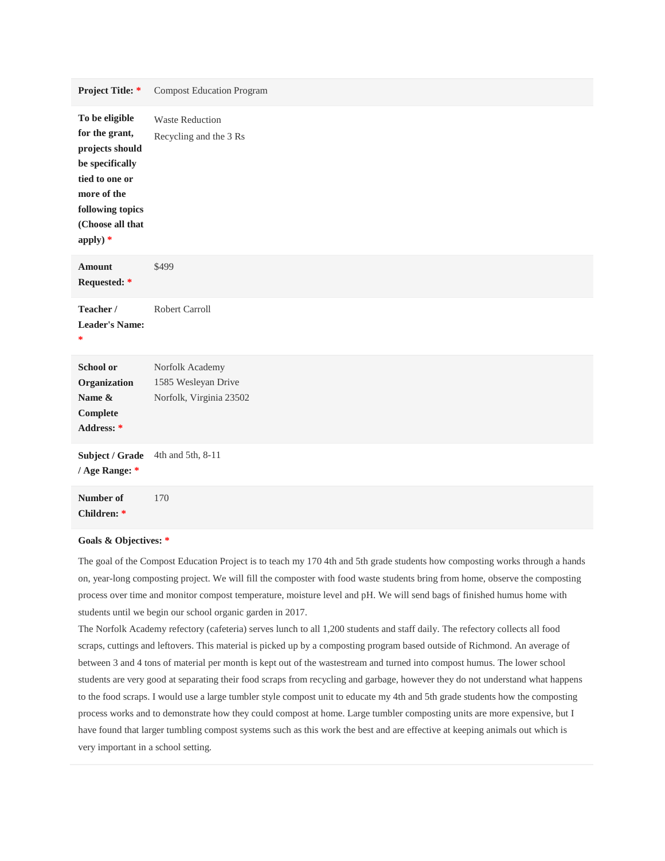| <b>Project Title: *</b>                                                                                                                                       | <b>Compost Education Program</b>                                  |
|---------------------------------------------------------------------------------------------------------------------------------------------------------------|-------------------------------------------------------------------|
| To be eligible<br>for the grant,<br>projects should<br>be specifically<br>tied to one or<br>more of the<br>following topics<br>(Choose all that<br>apply) $*$ | <b>Waste Reduction</b><br>Recycling and the 3 Rs                  |
| <b>Amount</b><br>Requested: *                                                                                                                                 | \$499                                                             |
| Teacher /<br><b>Leader's Name:</b><br>$\ast$                                                                                                                  | <b>Robert Carroll</b>                                             |
| School or<br>Organization<br>Name &<br>Complete<br>Address: *                                                                                                 | Norfolk Academy<br>1585 Wesleyan Drive<br>Norfolk, Virginia 23502 |
| Subject / Grade<br>/ Age Range: *                                                                                                                             | 4th and 5th, 8-11                                                 |
| Number of<br>Children: *                                                                                                                                      | 170                                                               |

## **Goals & Objectives: \***

The goal of the Compost Education Project is to teach my 170 4th and 5th grade students how composting works through a hands on, year-long composting project. We will fill the composter with food waste students bring from home, observe the composting process over time and monitor compost temperature, moisture level and pH. We will send bags of finished humus home with students until we begin our school organic garden in 2017.

The Norfolk Academy refectory (cafeteria) serves lunch to all 1,200 students and staff daily. The refectory collects all food scraps, cuttings and leftovers. This material is picked up by a composting program based outside of Richmond. An average of between 3 and 4 tons of material per month is kept out of the wastestream and turned into compost humus. The lower school students are very good at separating their food scraps from recycling and garbage, however they do not understand what happens to the food scraps. I would use a large tumbler style compost unit to educate my 4th and 5th grade students how the composting process works and to demonstrate how they could compost at home. Large tumbler composting units are more expensive, but I have found that larger tumbling compost systems such as this work the best and are effective at keeping animals out which is very important in a school setting.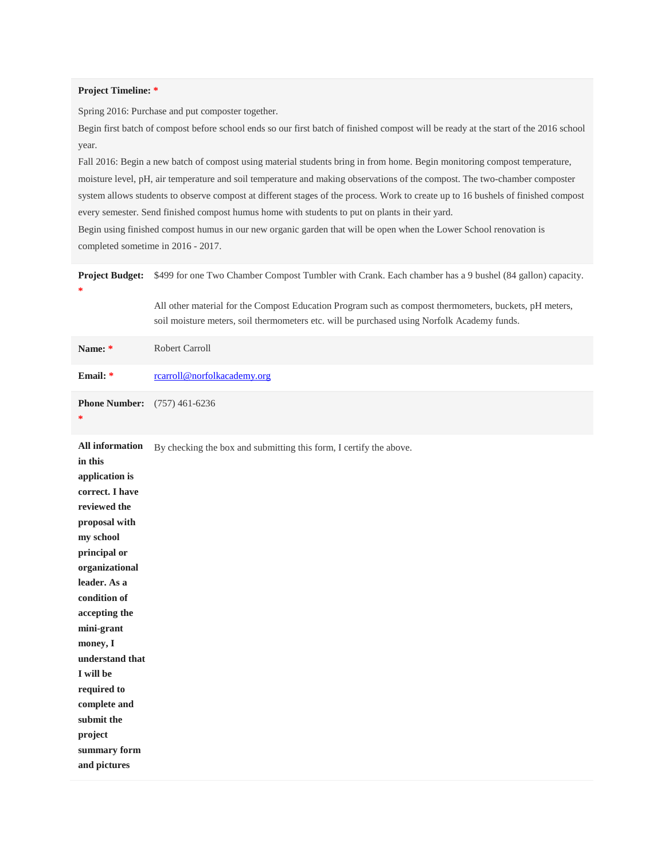## **Project Timeline: \***

Spring 2016: Purchase and put composter together.

Begin first batch of compost before school ends so our first batch of finished compost will be ready at the start of the 2016 school year.

Fall 2016: Begin a new batch of compost using material students bring in from home. Begin monitoring compost temperature, moisture level, pH, air temperature and soil temperature and making observations of the compost. The two-chamber composter system allows students to observe compost at different stages of the process. Work to create up to 16 bushels of finished compost every semester. Send finished compost humus home with students to put on plants in their yard.

Begin using finished compost humus in our new organic garden that will be open when the Lower School renovation is completed sometime in 2016 - 2017.

Project Budget: \$499 for one Two Chamber Compost Tumbler with Crank. Each chamber has a 9 bushel (84 gallon) capacity. **\***

> All other material for the Compost Education Program such as compost thermometers, buckets, pH meters, soil moisture meters, soil thermometers etc. will be purchased using Norfolk Academy funds.

| Name: *                                                                                                                                                                                                                                                                                                                                            | Robert Carroll                                                     |
|----------------------------------------------------------------------------------------------------------------------------------------------------------------------------------------------------------------------------------------------------------------------------------------------------------------------------------------------------|--------------------------------------------------------------------|
| Email: *                                                                                                                                                                                                                                                                                                                                           | rcarroll@norfolkacademy.org                                        |
| <b>Phone Number:</b><br>*                                                                                                                                                                                                                                                                                                                          | $(757)$ 461-6236                                                   |
| All information<br>in this<br>application is<br>correct. I have<br>reviewed the<br>proposal with<br>my school<br>principal or<br>organizational<br>leader. As a<br>condition of<br>accepting the<br>mini-grant<br>money, I<br>understand that<br>I will be<br>required to<br>complete and<br>submit the<br>project<br>summary form<br>and pictures | By checking the box and submitting this form, I certify the above. |